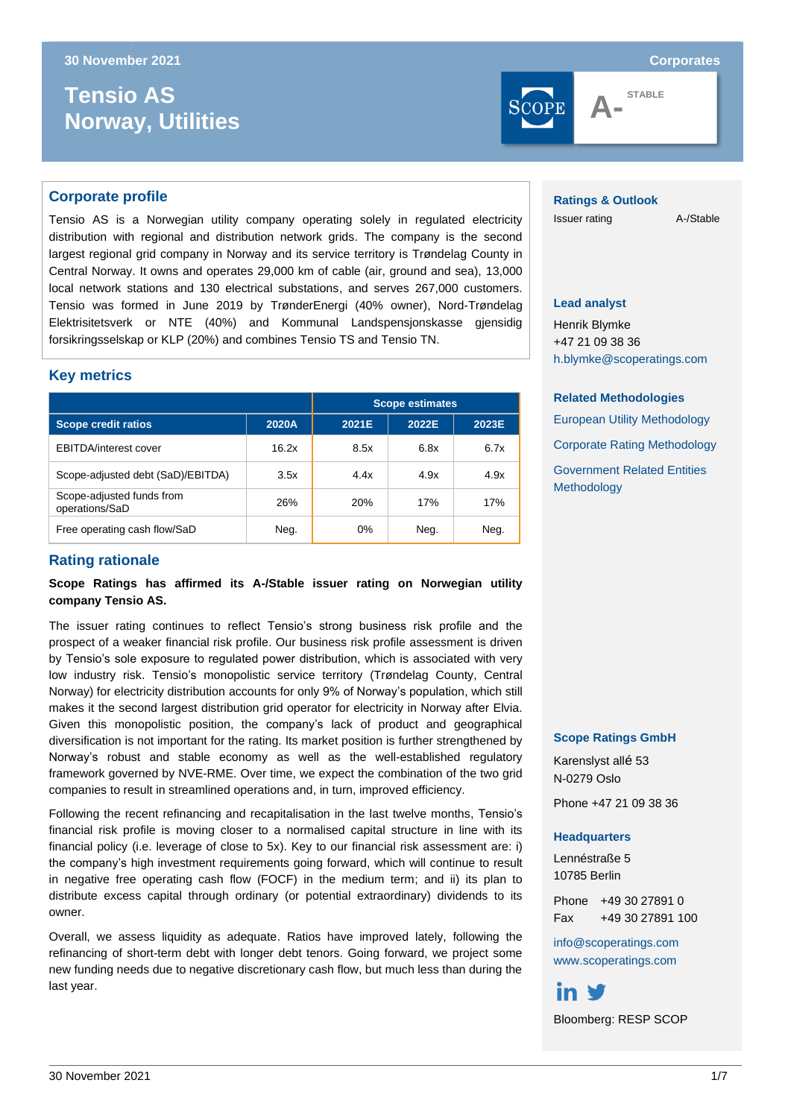# $T$ ensio AS **Norway, Utilities**





**STABLE**

#### **Corporate profile**

Tensio AS is a Norwegian utility company operating solely in regulated electricity distribution with regional and distribution network grids. The company is the second largest regional grid company in Norway and its service territory is Trøndelag County in Central Norway. It owns and operates 29,000 km of cable (air, ground and sea), 13,000 local network stations and 130 electrical substations, and serves 267,000 customers. Tensio was formed in June 2019 by TrønderEnergi (40% owner), Nord-Trøndelag Elektrisitetsverk or NTE (40%) and Kommunal Landspensjonskasse gjensidig forsikringsselskap or KLP (20%) and combines Tensio TS and Tensio TN.

#### **Key metrics**

|                                             | <b>Scope estimates</b> |            |       |       |
|---------------------------------------------|------------------------|------------|-------|-------|
| <b>Scope credit ratios</b>                  | 2020A                  | 2021E      | 2022E | 2023E |
| <b>EBITDA/interest cover</b>                | 16.2x                  | 8.5x       | 6.8x  | 6.7x  |
| Scope-adjusted debt (SaD)/EBITDA)           | 3.5x                   | 4.4x       | 4.9x  | 4.9x  |
| Scope-adjusted funds from<br>operations/SaD | 26%                    | <b>20%</b> | 17%   | 17%   |
| Free operating cash flow/SaD                | Neg.                   | 0%         | Neg.  | Neg.  |

#### **Rating rationale**

**Scope Ratings has affirmed its A-/Stable issuer rating on Norwegian utility company Tensio AS.**

The issuer rating continues to reflect Tensio's strong business risk profile and the prospect of a weaker financial risk profile. Our business risk profile assessment is driven by Tensio's sole exposure to regulated power distribution, which is associated with very low industry risk. Tensio's monopolistic service territory (Trøndelag County, Central Norway) for electricity distribution accounts for only 9% of Norway's population, which still makes it the second largest distribution grid operator for electricity in Norway after Elvia. Given this monopolistic position, the company's lack of product and geographical diversification is not important for the rating. Its market position is further strengthened by Norway's robust and stable economy as well as the well-established regulatory framework governed by NVE-RME. Over time, we expect the combination of the two grid companies to result in streamlined operations and, in turn, improved efficiency.

Following the recent refinancing and recapitalisation in the last twelve months, Tensio's financial risk profile is moving closer to a normalised capital structure in line with its financial policy (i.e. leverage of close to 5x). Key to our financial risk assessment are: i) the company's high investment requirements going forward, which will continue to result in negative free operating cash flow (FOCF) in the medium term; and ii) its plan to distribute excess capital through ordinary (or potential extraordinary) dividends to its owner.

Overall, we assess liquidity as adequate. Ratios have improved lately, following the refinancing of short-term debt with longer debt tenors. Going forward, we project some new funding needs due to negative discretionary cash flow, but much less than during the last year.

#### **Ratings & Outlook**

Issuer rating A-/Stable

#### **Lead analyst**

Henrik Blymke +47 21 09 38 36 [h.blymke@scoperatings.com](mailto:h.blymke@scoperatings.com)

#### **Related Methodologies**

[European Utility Methodology](https://www.scoperatings.com/ScopeRatingsApi/api/downloadmethodology?id=eac9f17a-cb4c-4073-b6c9-1a9faacef04c) [Corporate Rating Methodology](https://www.scoperatings.com/ScopeRatingsApi/api/downloadmethodology?id=288180ad-b908-4f1b-872b-40617a2da901) [Government Related Entities](https://www.scoperatings.com/ScopeRatingsApi/api/downloadmethodology?id=43215141-88f7-4271-8523-66b37468e6a6)  [Methodology](https://www.scoperatings.com/ScopeRatingsApi/api/downloadmethodology?id=43215141-88f7-4271-8523-66b37468e6a6)

#### **Scope Ratings GmbH**

Karenslyst allé 53 N-0279 Oslo

Phone +47 21 09 38 36

#### **Headquarters**

Lennéstraße 5 10785 Berlin

Phone +49 30 27891 0 Fax +49 30 27891 100

[info@scoperatings.com](mailto:info@scoperatings.com) [www.scoperatings.com](https://www.scoperatings.com/#home)

in V Bloomberg: RESP SCOP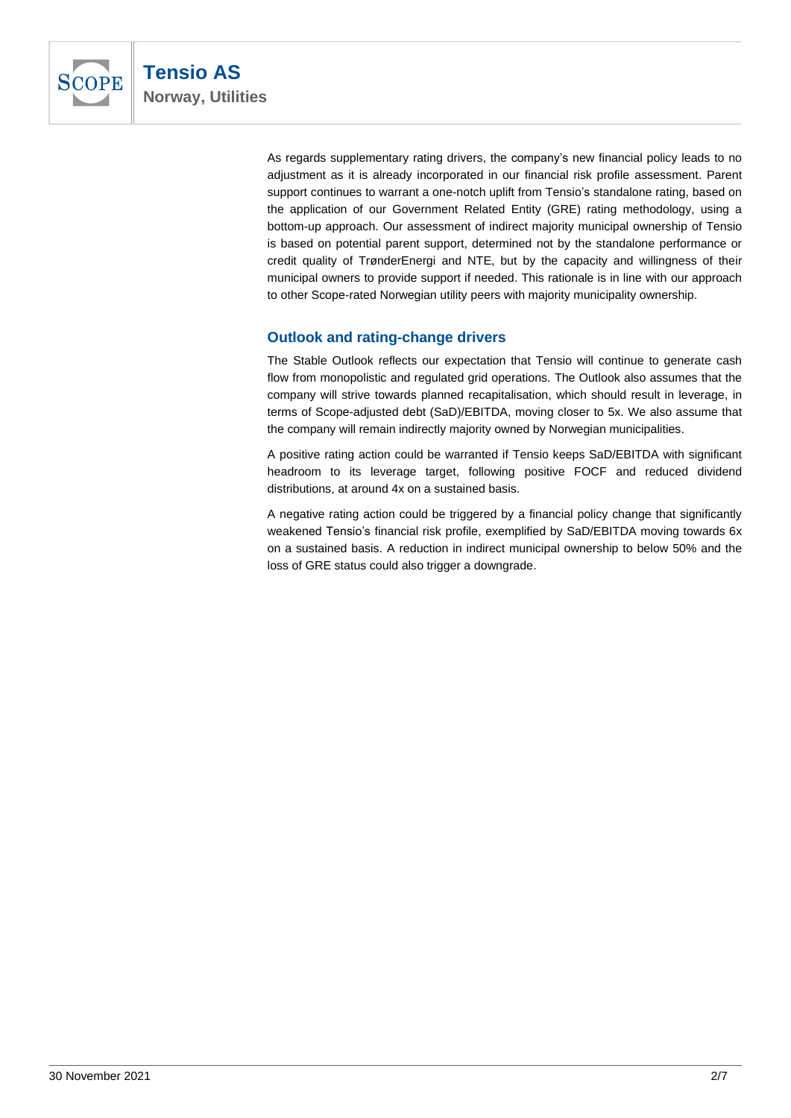

As regards supplementary rating drivers, the company's new financial policy leads to no adjustment as it is already incorporated in our financial risk profile assessment. Parent support continues to warrant a one-notch uplift from Tensio's standalone rating, based on the application of our Government Related Entity (GRE) rating methodology, using a bottom-up approach. Our assessment of indirect majority municipal ownership of Tensio is based on potential parent support, determined not by the standalone performance or credit quality of TrønderEnergi and NTE, but by the capacity and willingness of their municipal owners to provide support if needed. This rationale is in line with our approach to other Scope-rated Norwegian utility peers with majority municipality ownership.

# **Outlook and rating-change drivers**

The Stable Outlook reflects our expectation that Tensio will continue to generate cash flow from monopolistic and regulated grid operations. The Outlook also assumes that the company will strive towards planned recapitalisation, which should result in leverage, in terms of Scope-adjusted debt (SaD)/EBITDA, moving closer to 5x. We also assume that the company will remain indirectly majority owned by Norwegian municipalities.

A positive rating action could be warranted if Tensio keeps SaD/EBITDA with significant headroom to its leverage target, following positive FOCF and reduced dividend distributions, at around 4x on a sustained basis.

A negative rating action could be triggered by a financial policy change that significantly weakened Tensio's financial risk profile, exemplified by SaD/EBITDA moving towards 6x on a sustained basis. A reduction in indirect municipal ownership to below 50% and the loss of GRE status could also trigger a downgrade.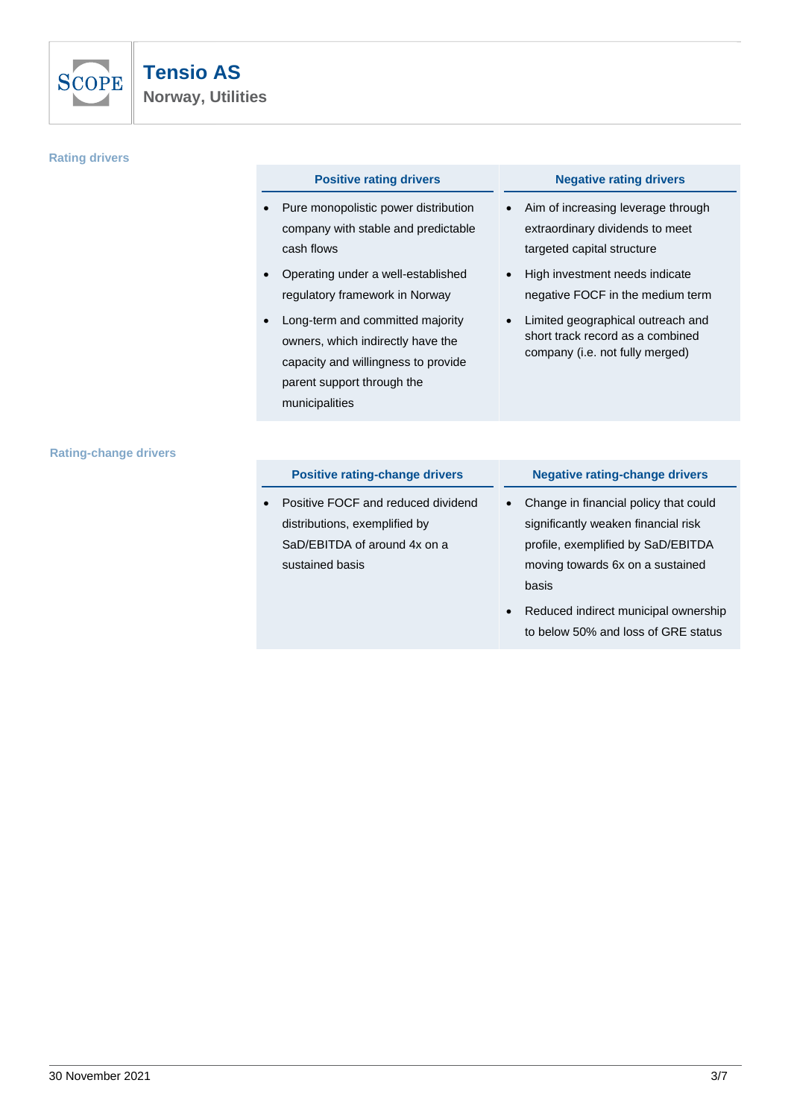

#### **Rating drivers**

#### **Positive rating drivers Negative rating drivers**

- Pure monopolistic power distribution company with stable and predictable cash flows
- Operating under a well-established regulatory framework in Norway
- Long-term and committed majority owners, which indirectly have the capacity and willingness to provide parent support through the municipalities

- Aim of increasing leverage through extraordinary dividends to meet targeted capital structure
- High investment needs indicate negative FOCF in the medium term
- Limited geographical outreach and short track record as a combined company (i.e. not fully merged)

#### **Rating-change drivers**

|  | Positive rating-change drivers |
|--|--------------------------------|
|  |                                |

Positive FOCF and reduced dividend distributions, exemplified by SaD/EBITDA of around 4x on a sustained basis

#### **Negative rating-change drivers**

- Change in financial policy that could significantly weaken financial risk profile, exemplified by SaD/EBITDA moving towards 6x on a sustained basis
- Reduced indirect municipal ownership to below 50% and loss of GRE status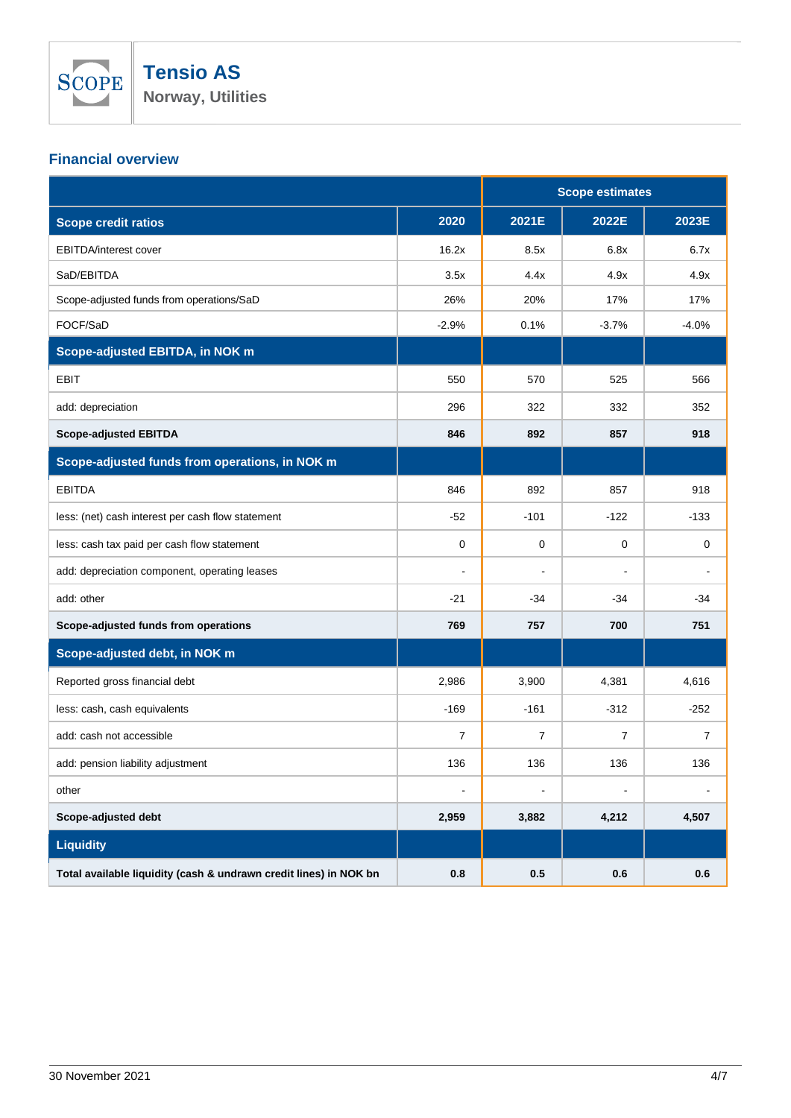

# **Financial overview**

|                                                                   |                | <b>Scope estimates</b> |                |                |
|-------------------------------------------------------------------|----------------|------------------------|----------------|----------------|
| <b>Scope credit ratios</b>                                        | 2020           | 2021E                  | 2022E          | 2023E          |
| <b>EBITDA/interest cover</b>                                      | 16.2x          | 8.5x                   | 6.8x           | 6.7x           |
| SaD/EBITDA                                                        | 3.5x           | 4.4x                   | 4.9x           | 4.9x           |
| Scope-adjusted funds from operations/SaD                          | 26%            | 20%                    | 17%            | 17%            |
| FOCF/SaD                                                          | $-2.9%$        | 0.1%                   | $-3.7%$        | $-4.0%$        |
| Scope-adjusted EBITDA, in NOK m                                   |                |                        |                |                |
| <b>EBIT</b>                                                       | 550            | 570                    | 525            | 566            |
| add: depreciation                                                 | 296            | 322                    | 332            | 352            |
| <b>Scope-adjusted EBITDA</b>                                      | 846            | 892                    | 857            | 918            |
| Scope-adjusted funds from operations, in NOK m                    |                |                        |                |                |
| <b>EBITDA</b>                                                     | 846            | 892                    | 857            | 918            |
| less: (net) cash interest per cash flow statement                 | $-52$          | $-101$                 | $-122$         | $-133$         |
| less: cash tax paid per cash flow statement                       | 0              | 0                      | 0              | $\mathbf 0$    |
| add: depreciation component, operating leases                     |                |                        |                |                |
| add: other                                                        | $-21$          | $-34$                  | $-34$          | $-34$          |
| Scope-adjusted funds from operations                              | 769            | 757                    | 700            | 751            |
| Scope-adjusted debt, in NOK m                                     |                |                        |                |                |
| Reported gross financial debt                                     | 2,986          | 3,900                  | 4,381          | 4,616          |
| less: cash, cash equivalents                                      | $-169$         | $-161$                 | $-312$         | $-252$         |
| add: cash not accessible                                          | $\overline{7}$ | $\overline{7}$         | $\overline{7}$ | $\overline{7}$ |
| add: pension liability adjustment                                 | 136            | 136                    | 136            | 136            |
| other                                                             | $\blacksquare$ |                        | $\overline{a}$ |                |
| Scope-adjusted debt                                               | 2,959          | 3,882                  | 4,212          | 4,507          |
| <b>Liquidity</b>                                                  |                |                        |                |                |
| Total available liquidity (cash & undrawn credit lines) in NOK bn | 0.8            | 0.5                    | 0.6            | 0.6            |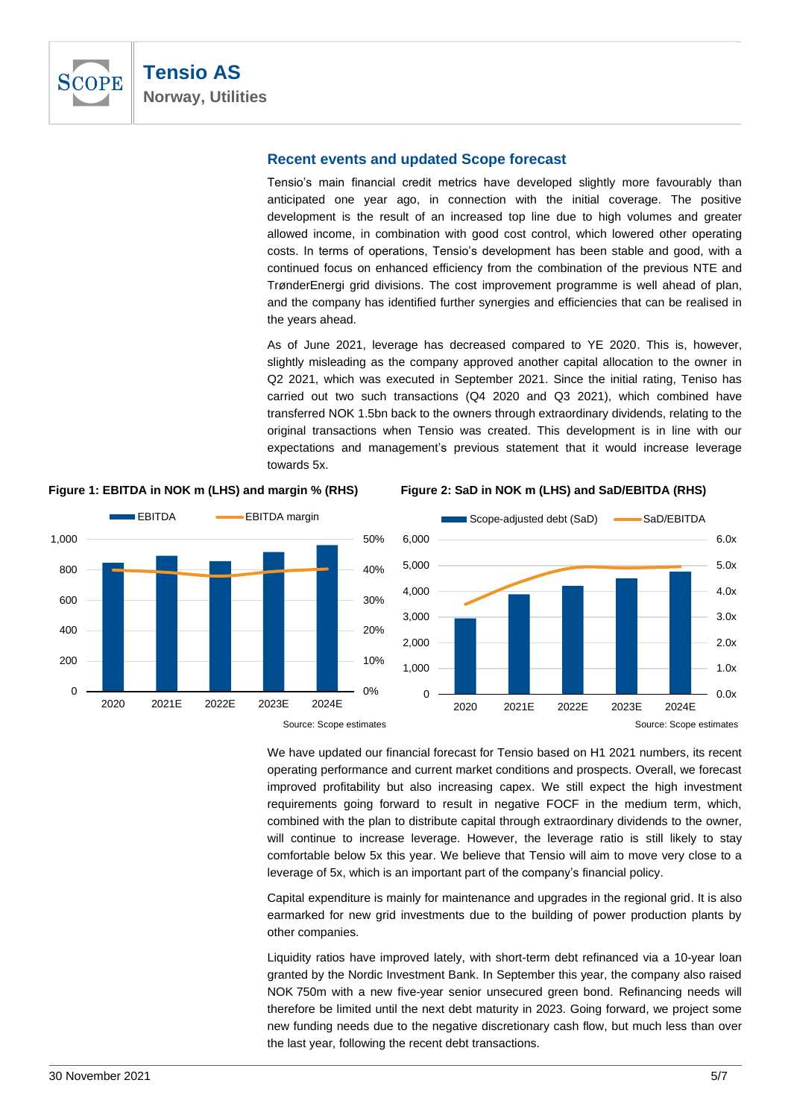

### **Recent events and updated Scope forecast**

Tensio's main financial credit metrics have developed slightly more favourably than anticipated one year ago, in connection with the initial coverage. The positive development is the result of an increased top line due to high volumes and greater allowed income, in combination with good cost control, which lowered other operating costs. In terms of operations, Tensio's development has been stable and good, with a continued focus on enhanced efficiency from the combination of the previous NTE and TrønderEnergi grid divisions. The cost improvement programme is well ahead of plan, and the company has identified further synergies and efficiencies that can be realised in the years ahead.

As of June 2021, leverage has decreased compared to YE 2020. This is, however, slightly misleading as the company approved another capital allocation to the owner in Q2 2021, which was executed in September 2021. Since the initial rating, Teniso has carried out two such transactions (Q4 2020 and Q3 2021), which combined have transferred NOK 1.5bn back to the owners through extraordinary dividends, relating to the original transactions when Tensio was created. This development is in line with our expectations and management's previous statement that it would increase leverage towards 5x.



**Figure 1: EBITDA in NOK m (LHS) and margin % (RHS) Figure 2: SaD in NOK m (LHS) and SaD/EBITDA (RHS)**



We have updated our financial forecast for Tensio based on H1 2021 numbers, its recent operating performance and current market conditions and prospects. Overall, we forecast improved profitability but also increasing capex. We still expect the high investment requirements going forward to result in negative FOCF in the medium term, which, combined with the plan to distribute capital through extraordinary dividends to the owner, will continue to increase leverage. However, the leverage ratio is still likely to stay comfortable below 5x this year. We believe that Tensio will aim to move very close to a leverage of 5x, which is an important part of the company's financial policy.

Capital expenditure is mainly for maintenance and upgrades in the regional grid. It is also earmarked for new grid investments due to the building of power production plants by other companies.

Liquidity ratios have improved lately, with short-term debt refinanced via a 10-year loan granted by the Nordic Investment Bank. In September this year, the company also raised NOK 750m with a new five-year senior unsecured green bond. Refinancing needs will therefore be limited until the next debt maturity in 2023. Going forward, we project some new funding needs due to the negative discretionary cash flow, but much less than over the last year, following the recent debt transactions.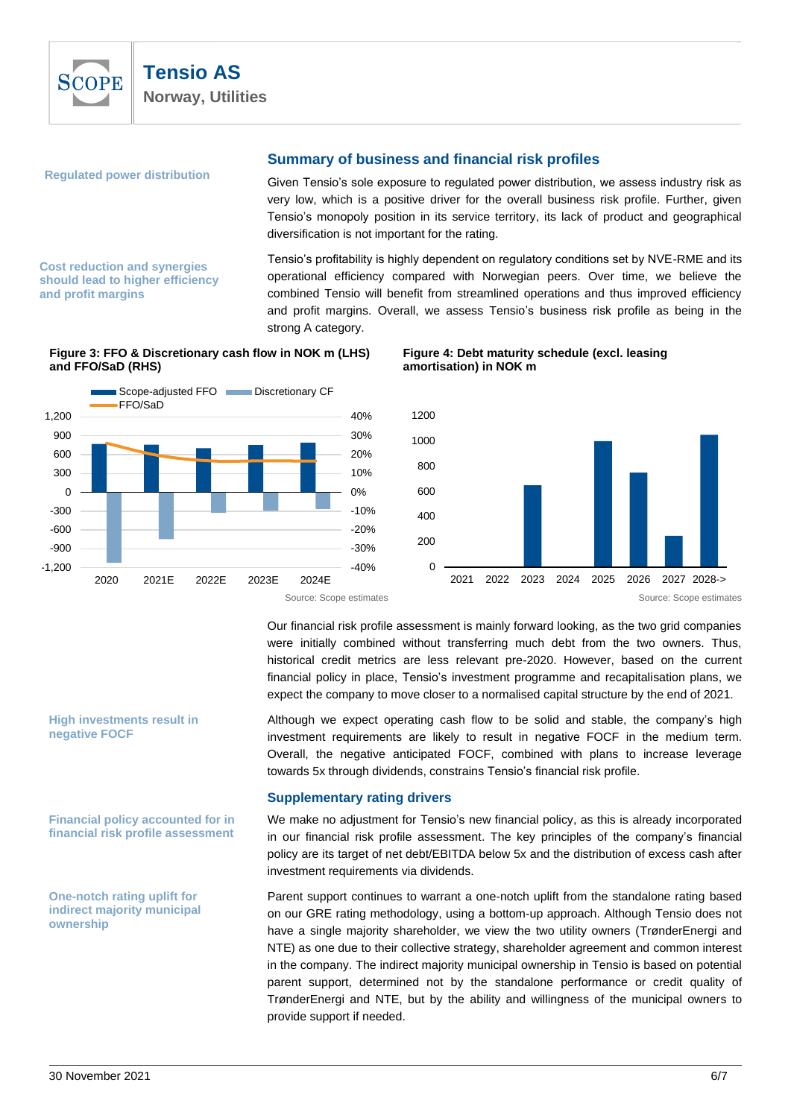

**Regulated power distribution** 

**Cost reduction and synergies should lead to higher efficiency** 

**and profit margins**

# **Summary of business and financial risk profiles**

Given Tensio's sole exposure to regulated power distribution, we assess industry risk as very low, which is a positive driver for the overall business risk profile. Further, given Tensio's monopoly position in its service territory, its lack of product and geographical diversification is not important for the rating.

Tensio's profitability is highly dependent on regulatory conditions set by NVE-RME and its operational efficiency compared with Norwegian peers. Over time, we believe the combined Tensio will benefit from streamlined operations and thus improved efficiency and profit margins. Overall, we assess Tensio's business risk profile as being in the strong A category.

#### **Figure 3: FFO & Discretionary cash flow in NOK m (LHS) and FFO/SaD (RHS)**



#### **Figure 4: Debt maturity schedule (excl. leasing amortisation) in NOK m**



Source: Scope estimates Source: Scope estimates Source: Scope estimates Source: Scope estimates

Our financial risk profile assessment is mainly forward looking, as the two grid companies were initially combined without transferring much debt from the two owners. Thus, historical credit metrics are less relevant pre-2020. However, based on the current financial policy in place, Tensio's investment programme and recapitalisation plans, we expect the company to move closer to a normalised capital structure by the end of 2021.

Although we expect operating cash flow to be solid and stable, the company's high investment requirements are likely to result in negative FOCF in the medium term. Overall, the negative anticipated FOCF, combined with plans to increase leverage towards 5x through dividends, constrains Tensio's financial risk profile.

#### **Supplementary rating drivers**

We make no adjustment for Tensio's new financial policy, as this is already incorporated in our financial risk profile assessment. The key principles of the company's financial policy are its target of net debt/EBITDA below 5x and the distribution of excess cash after investment requirements via dividends.

Parent support continues to warrant a one-notch uplift from the standalone rating based on our GRE rating methodology, using a bottom-up approach. Although Tensio does not have a single majority shareholder, we view the two utility owners (TrønderEnergi and NTE) as one due to their collective strategy, shareholder agreement and common interest in the company. The indirect majority municipal ownership in Tensio is based on potential parent support, determined not by the standalone performance or credit quality of TrønderEnergi and NTE, but by the ability and willingness of the municipal owners to provide support if needed.

**High investments result in negative FOCF**

**Financial policy accounted for in financial risk profile assessment**

**One-notch rating uplift for indirect majority municipal ownership**